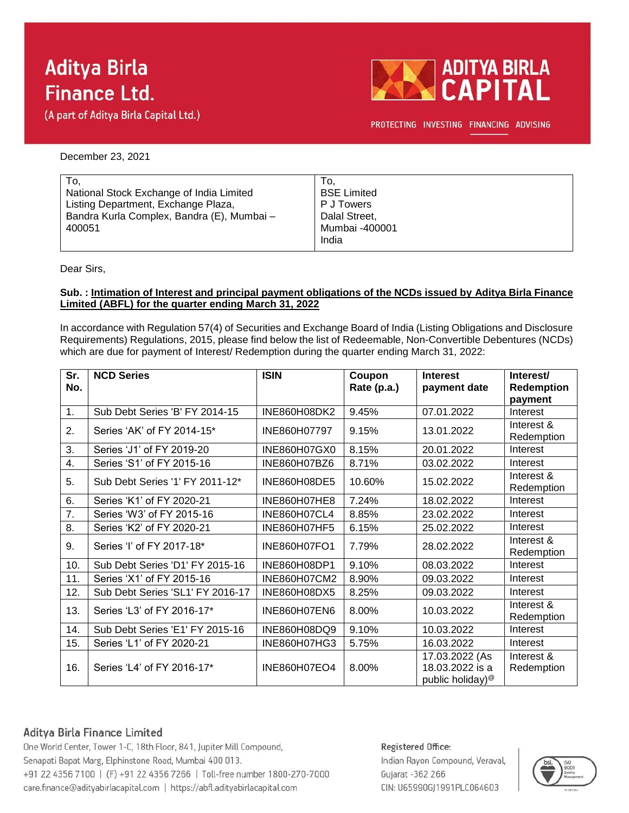# **Aditya Birla Finance Ltd.**

(A part of Aditya Birla Capital Ltd.)



PROTECTING INVESTING FINANCING ADVISING

December 23, 2021

| To.                                        | To.                |
|--------------------------------------------|--------------------|
| National Stock Exchange of India Limited   | <b>BSE Limited</b> |
| Listing Department, Exchange Plaza,        | P J Towers         |
| Bandra Kurla Complex, Bandra (E), Mumbai - | Dalal Street,      |
| 400051                                     | Mumbai -400001     |
|                                            | India              |

Dear Sirs,

#### **Sub. : Intimation of Interest and principal payment obligations of the NCDs issued by Aditya Birla Finance Limited (ABFL) for the quarter ending March 31, 2022**

In accordance with Regulation 57(4) of Securities and Exchange Board of India (Listing Obligations and Disclosure Requirements) Regulations, 2015, please find below the list of Redeemable, Non-Convertible Debentures (NCDs) which are due for payment of Interest/ Redemption during the quarter ending March 31, 2022:

| Sr.<br>No. | <b>NCD Series</b>                | <b>ISIN</b>         | Coupon<br>Rate (p.a.) | <b>Interest</b><br>payment date                                   | Interest/<br><b>Redemption</b><br>payment |
|------------|----------------------------------|---------------------|-----------------------|-------------------------------------------------------------------|-------------------------------------------|
| 1.         | Sub Debt Series 'B' FY 2014-15   | INE860H08DK2        | 9.45%                 | 07.01.2022                                                        | Interest                                  |
| 2.         | Series 'AK' of FY 2014-15*       | INE860H07797        | 9.15%                 | 13.01.2022                                                        | Interest &<br>Redemption                  |
| 3.         | Series 'J1' of FY 2019-20        | INE860H07GX0        | 8.15%                 | 20.01.2022                                                        | Interest                                  |
| 4.         | Series 'S1' of FY 2015-16        | INE860H07BZ6        | 8.71%                 | 03.02.2022                                                        | Interest                                  |
| 5.         | Sub Debt Series '1' FY 2011-12*  | INE860H08DE5        | 10.60%                | 15.02.2022                                                        | Interest &<br>Redemption                  |
| 6.         | Series 'K1' of FY 2020-21        | <b>INE860H07HE8</b> | 7.24%                 | 18.02.2022                                                        | Interest                                  |
| 7.         | Series 'W3' of FY 2015-16        | <b>INE860H07CL4</b> | 8.85%                 | 23.02.2022                                                        | Interest                                  |
| 8.         | Series 'K2' of FY 2020-21        | <b>INE860H07HF5</b> | 6.15%                 | 25.02.2022                                                        | Interest                                  |
| 9.         | Series 'I' of FY 2017-18*        | <b>INE860H07FO1</b> | 7.79%                 | 28.02.2022                                                        | Interest &<br>Redemption                  |
| 10.        | Sub Debt Series 'D1' FY 2015-16  | INE860H08DP1        | 9.10%                 | 08.03.2022                                                        | Interest                                  |
| 11.        | Series 'X1' of FY 2015-16        | INE860H07CM2        | 8.90%                 | 09.03.2022                                                        | Interest                                  |
| 12.        | Sub Debt Series 'SL1' FY 2016-17 | INE860H08DX5        | 8.25%                 | 09.03.2022                                                        | Interest                                  |
| 13.        | Series 'L3' of FY 2016-17*       | <b>INE860H07EN6</b> | 8.00%                 | 10.03.2022                                                        | Interest &<br>Redemption                  |
| 14.        | Sub Debt Series 'E1' FY 2015-16  | INE860H08DQ9        | 9.10%                 | 10.03.2022                                                        | Interest                                  |
| 15.        | Series 'L1' of FY 2020-21        | INE860H07HG3        | 5.75%                 | 16.03.2022                                                        | Interest                                  |
| 16.        | Series 'L4' of FY 2016-17*       | <b>INE860H07EO4</b> | 8.00%                 | 17.03.2022 (As<br>18.03.2022 is a<br>public holiday) <sup>@</sup> | Interest &<br>Redemption                  |

## Aditya Birla Finance Limited

One World Center, Tower 1-C, 18th Floor, 841, Jupiter Mill Compound, Senapati Bapat Marg, Elphinstone Road, Mumbai 400 013. +91 22 4356 7100 | (F) +91 22 4356 7266 | Toll-free number 1800-270-7000 care.finance@adityabirlacapital.com | https://abfl.adityabirlacapital.com

### Registered Office:

Indian Rayon Compound, Veraval, Gujarat - 362 266 CIN: U65990GJ1991PLC064603